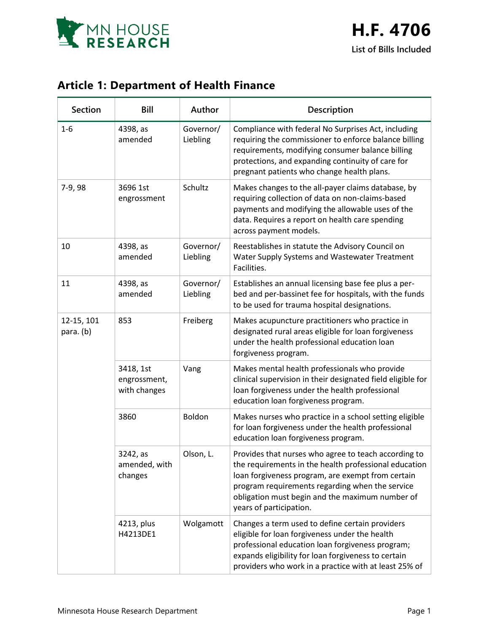

## **Article 1: Department of Health Finance**

| <b>Section</b>          | Bill                                      | Author                | Description                                                                                                                                                                                                                                                                                         |
|-------------------------|-------------------------------------------|-----------------------|-----------------------------------------------------------------------------------------------------------------------------------------------------------------------------------------------------------------------------------------------------------------------------------------------------|
| $1 - 6$                 | 4398, as<br>amended                       | Governor/<br>Liebling | Compliance with federal No Surprises Act, including<br>requiring the commissioner to enforce balance billing<br>requirements, modifying consumer balance billing<br>protections, and expanding continuity of care for<br>pregnant patients who change health plans.                                 |
| 7-9,98                  | 3696 1st<br>engrossment                   | Schultz               | Makes changes to the all-payer claims database, by<br>requiring collection of data on non-claims-based<br>payments and modifying the allowable uses of the<br>data. Requires a report on health care spending<br>across payment models.                                                             |
| 10                      | 4398, as<br>amended                       | Governor/<br>Liebling | Reestablishes in statute the Advisory Council on<br>Water Supply Systems and Wastewater Treatment<br>Facilities.                                                                                                                                                                                    |
| 11                      | 4398, as<br>amended                       | Governor/<br>Liebling | Establishes an annual licensing base fee plus a per-<br>bed and per-bassinet fee for hospitals, with the funds<br>to be used for trauma hospital designations.                                                                                                                                      |
| 12-15, 101<br>para. (b) | 853                                       | Freiberg              | Makes acupuncture practitioners who practice in<br>designated rural areas eligible for loan forgiveness<br>under the health professional education loan<br>forgiveness program.                                                                                                                     |
|                         | 3418, 1st<br>engrossment,<br>with changes | Vang                  | Makes mental health professionals who provide<br>clinical supervision in their designated field eligible for<br>loan forgiveness under the health professional<br>education loan forgiveness program.                                                                                               |
|                         | 3860                                      | Boldon                | Makes nurses who practice in a school setting eligible<br>for loan forgiveness under the health professional<br>education loan forgiveness program.                                                                                                                                                 |
|                         | 3242, as<br>amended, with<br>changes      | Olson, L.             | Provides that nurses who agree to teach according to<br>the requirements in the health professional education<br>loan forgiveness program, are exempt from certain<br>program requirements regarding when the service<br>obligation must begin and the maximum number of<br>years of participation. |
|                         | 4213, plus<br>H4213DE1                    | Wolgamott             | Changes a term used to define certain providers<br>eligible for loan forgiveness under the health<br>professional education loan forgiveness program;<br>expands eligibility for loan forgiveness to certain<br>providers who work in a practice with at least 25% of                               |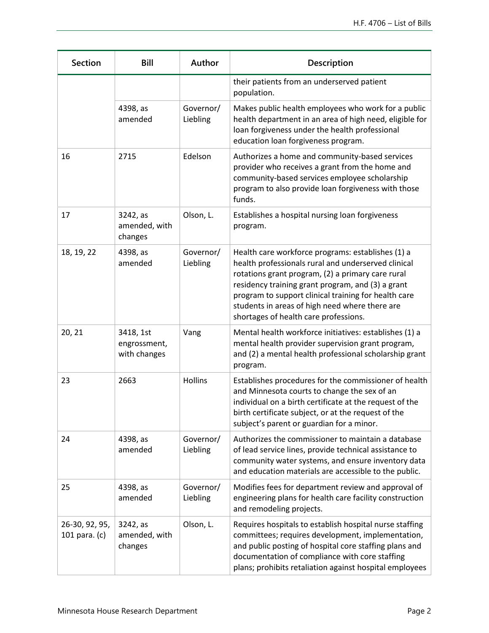| <b>Section</b>                  | <b>Bill</b>                               | Author                | Description                                                                                                                                                                                                                                                                                                                                                           |
|---------------------------------|-------------------------------------------|-----------------------|-----------------------------------------------------------------------------------------------------------------------------------------------------------------------------------------------------------------------------------------------------------------------------------------------------------------------------------------------------------------------|
|                                 |                                           |                       | their patients from an underserved patient<br>population.                                                                                                                                                                                                                                                                                                             |
|                                 | 4398, as<br>amended                       | Governor/<br>Liebling | Makes public health employees who work for a public<br>health department in an area of high need, eligible for<br>loan forgiveness under the health professional<br>education loan forgiveness program.                                                                                                                                                               |
| 16                              | 2715                                      | Edelson               | Authorizes a home and community-based services<br>provider who receives a grant from the home and<br>community-based services employee scholarship<br>program to also provide loan forgiveness with those<br>funds.                                                                                                                                                   |
| 17                              | 3242, as<br>amended, with<br>changes      | Olson, L.             | Establishes a hospital nursing loan forgiveness<br>program.                                                                                                                                                                                                                                                                                                           |
| 18, 19, 22                      | 4398, as<br>amended                       | Governor/<br>Liebling | Health care workforce programs: establishes (1) a<br>health professionals rural and underserved clinical<br>rotations grant program, (2) a primary care rural<br>residency training grant program, and (3) a grant<br>program to support clinical training for health care<br>students in areas of high need where there are<br>shortages of health care professions. |
| 20, 21                          | 3418, 1st<br>engrossment,<br>with changes | Vang                  | Mental health workforce initiatives: establishes (1) a<br>mental health provider supervision grant program,<br>and (2) a mental health professional scholarship grant<br>program.                                                                                                                                                                                     |
| 23                              | 2663                                      | Hollins               | Establishes procedures for the commissioner of health<br>and Minnesota courts to change the sex of an<br>individual on a birth certificate at the request of the<br>birth certificate subject, or at the request of the<br>subject's parent or guardian for a minor.                                                                                                  |
| 24                              | 4398, as<br>amended                       | Governor/<br>Liebling | Authorizes the commissioner to maintain a database<br>of lead service lines, provide technical assistance to<br>community water systems, and ensure inventory data<br>and education materials are accessible to the public.                                                                                                                                           |
| 25                              | 4398, as<br>amended                       | Governor/<br>Liebling | Modifies fees for department review and approval of<br>engineering plans for health care facility construction<br>and remodeling projects.                                                                                                                                                                                                                            |
| 26-30, 92, 95,<br>101 para. (c) | 3242, as<br>amended, with<br>changes      | Olson, L.             | Requires hospitals to establish hospital nurse staffing<br>committees; requires development, implementation,<br>and public posting of hospital core staffing plans and<br>documentation of compliance with core staffing<br>plans; prohibits retaliation against hospital employees                                                                                   |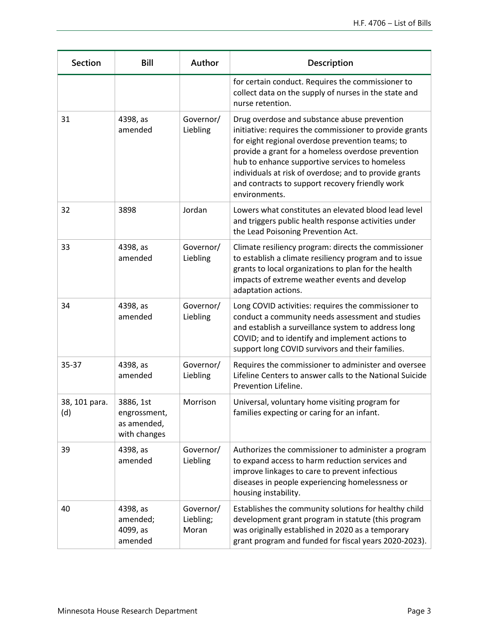| <b>Section</b>       | Bill                                                     | Author                          | Description                                                                                                                                                                                                                                                                                                                                                                                       |
|----------------------|----------------------------------------------------------|---------------------------------|---------------------------------------------------------------------------------------------------------------------------------------------------------------------------------------------------------------------------------------------------------------------------------------------------------------------------------------------------------------------------------------------------|
|                      |                                                          |                                 | for certain conduct. Requires the commissioner to<br>collect data on the supply of nurses in the state and<br>nurse retention.                                                                                                                                                                                                                                                                    |
| 31                   | 4398, as<br>amended                                      | Governor/<br>Liebling           | Drug overdose and substance abuse prevention<br>initiative: requires the commissioner to provide grants<br>for eight regional overdose prevention teams; to<br>provide a grant for a homeless overdose prevention<br>hub to enhance supportive services to homeless<br>individuals at risk of overdose; and to provide grants<br>and contracts to support recovery friendly work<br>environments. |
| 32                   | 3898                                                     | Jordan                          | Lowers what constitutes an elevated blood lead level<br>and triggers public health response activities under<br>the Lead Poisoning Prevention Act.                                                                                                                                                                                                                                                |
| 33                   | 4398, as<br>amended                                      | Governor/<br>Liebling           | Climate resiliency program: directs the commissioner<br>to establish a climate resiliency program and to issue<br>grants to local organizations to plan for the health<br>impacts of extreme weather events and develop<br>adaptation actions.                                                                                                                                                    |
| 34                   | 4398, as<br>amended                                      | Governor/<br>Liebling           | Long COVID activities: requires the commissioner to<br>conduct a community needs assessment and studies<br>and establish a surveillance system to address long<br>COVID; and to identify and implement actions to<br>support long COVID survivors and their families.                                                                                                                             |
| 35-37                | 4398, as<br>amended                                      | Governor/<br>Liebling           | Requires the commissioner to administer and oversee<br>Lifeline Centers to answer calls to the National Suicide<br>Prevention Lifeline.                                                                                                                                                                                                                                                           |
| 38, 101 para.<br>(d) | 3886, 1st<br>engrossment,<br>as amended,<br>with changes | Morrison                        | Universal, voluntary home visiting program for<br>families expecting or caring for an infant.                                                                                                                                                                                                                                                                                                     |
| 39                   | 4398, as<br>amended                                      | Governor/<br>Liebling           | Authorizes the commissioner to administer a program<br>to expand access to harm reduction services and<br>improve linkages to care to prevent infectious<br>diseases in people experiencing homelessness or<br>housing instability.                                                                                                                                                               |
| 40                   | 4398, as<br>amended;<br>4099, as<br>amended              | Governor/<br>Liebling;<br>Moran | Establishes the community solutions for healthy child<br>development grant program in statute (this program<br>was originally established in 2020 as a temporary<br>grant program and funded for fiscal years 2020-2023).                                                                                                                                                                         |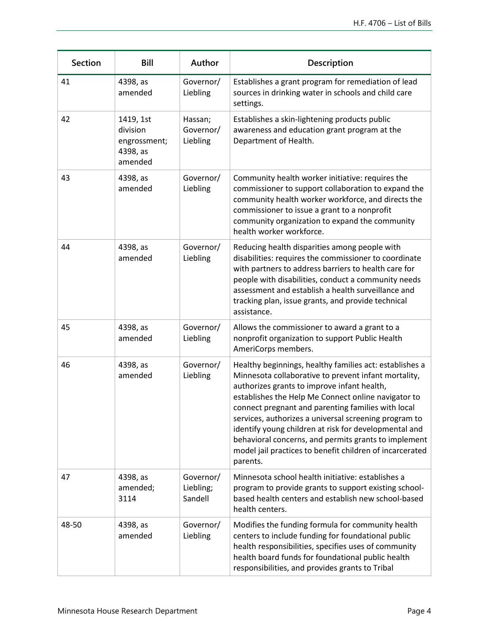| <b>Section</b> | Bill                                                         | Author                            | Description                                                                                                                                                                                                                                                                                                                                                                                                                                                                                                                   |
|----------------|--------------------------------------------------------------|-----------------------------------|-------------------------------------------------------------------------------------------------------------------------------------------------------------------------------------------------------------------------------------------------------------------------------------------------------------------------------------------------------------------------------------------------------------------------------------------------------------------------------------------------------------------------------|
| 41             | 4398, as<br>amended                                          | Governor/<br>Liebling             | Establishes a grant program for remediation of lead<br>sources in drinking water in schools and child care<br>settings.                                                                                                                                                                                                                                                                                                                                                                                                       |
| 42             | 1419, 1st<br>division<br>engrossment;<br>4398, as<br>amended | Hassan;<br>Governor/<br>Liebling  | Establishes a skin-lightening products public<br>awareness and education grant program at the<br>Department of Health.                                                                                                                                                                                                                                                                                                                                                                                                        |
| 43             | 4398, as<br>amended                                          | Governor/<br>Liebling             | Community health worker initiative: requires the<br>commissioner to support collaboration to expand the<br>community health worker workforce, and directs the<br>commissioner to issue a grant to a nonprofit<br>community organization to expand the community<br>health worker workforce.                                                                                                                                                                                                                                   |
| 44             | 4398, as<br>amended                                          | Governor/<br>Liebling             | Reducing health disparities among people with<br>disabilities: requires the commissioner to coordinate<br>with partners to address barriers to health care for<br>people with disabilities, conduct a community needs<br>assessment and establish a health surveillance and<br>tracking plan, issue grants, and provide technical<br>assistance.                                                                                                                                                                              |
| 45             | 4398, as<br>amended                                          | Governor/<br>Liebling             | Allows the commissioner to award a grant to a<br>nonprofit organization to support Public Health<br>AmeriCorps members.                                                                                                                                                                                                                                                                                                                                                                                                       |
| 46             | 4398, as<br>amended                                          | Governor/<br>Liebling             | Healthy beginnings, healthy families act: establishes a<br>Minnesota collaborative to prevent infant mortality,<br>authorizes grants to improve infant health,<br>establishes the Help Me Connect online navigator to<br>connect pregnant and parenting families with local<br>services, authorizes a universal screening program to<br>identify young children at risk for developmental and<br>behavioral concerns, and permits grants to implement<br>model jail practices to benefit children of incarcerated<br>parents. |
| 47             | 4398, as<br>amended;<br>3114                                 | Governor/<br>Liebling;<br>Sandell | Minnesota school health initiative: establishes a<br>program to provide grants to support existing school-<br>based health centers and establish new school-based<br>health centers.                                                                                                                                                                                                                                                                                                                                          |
| 48-50          | 4398, as<br>amended                                          | Governor/<br>Liebling             | Modifies the funding formula for community health<br>centers to include funding for foundational public<br>health responsibilities, specifies uses of community<br>health board funds for foundational public health<br>responsibilities, and provides grants to Tribal                                                                                                                                                                                                                                                       |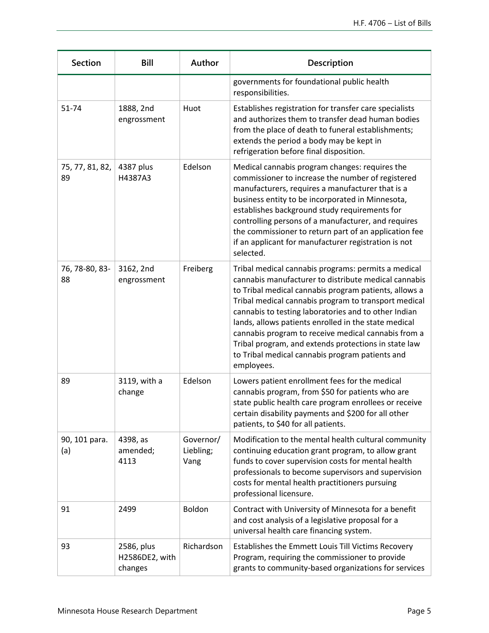| <b>Section</b>        | <b>Bill</b>                             | Author                         | Description                                                                                                                                                                                                                                                                                                                                                                                                                                                                                                                  |
|-----------------------|-----------------------------------------|--------------------------------|------------------------------------------------------------------------------------------------------------------------------------------------------------------------------------------------------------------------------------------------------------------------------------------------------------------------------------------------------------------------------------------------------------------------------------------------------------------------------------------------------------------------------|
|                       |                                         |                                | governments for foundational public health<br>responsibilities.                                                                                                                                                                                                                                                                                                                                                                                                                                                              |
| 51-74                 | 1888, 2nd<br>engrossment                | Huot                           | Establishes registration for transfer care specialists<br>and authorizes them to transfer dead human bodies<br>from the place of death to funeral establishments;<br>extends the period a body may be kept in<br>refrigeration before final disposition.                                                                                                                                                                                                                                                                     |
| 75, 77, 81, 82,<br>89 | 4387 plus<br>H4387A3                    | Edelson                        | Medical cannabis program changes: requires the<br>commissioner to increase the number of registered<br>manufacturers, requires a manufacturer that is a<br>business entity to be incorporated in Minnesota,<br>establishes background study requirements for<br>controlling persons of a manufacturer, and requires<br>the commissioner to return part of an application fee<br>if an applicant for manufacturer registration is not<br>selected.                                                                            |
| 76, 78-80, 83-<br>88  | 3162, 2nd<br>engrossment                | Freiberg                       | Tribal medical cannabis programs: permits a medical<br>cannabis manufacturer to distribute medical cannabis<br>to Tribal medical cannabis program patients, allows a<br>Tribal medical cannabis program to transport medical<br>cannabis to testing laboratories and to other Indian<br>lands, allows patients enrolled in the state medical<br>cannabis program to receive medical cannabis from a<br>Tribal program, and extends protections in state law<br>to Tribal medical cannabis program patients and<br>employees. |
| 89                    | 3119, with a<br>change                  | Edelson                        | Lowers patient enrollment fees for the medical<br>cannabis program, from \$50 for patients who are<br>state public health care program enrollees or receive<br>certain disability payments and \$200 for all other<br>patients, to \$40 for all patients.                                                                                                                                                                                                                                                                    |
| 90, 101 para.<br>(a)  | 4398, as<br>amended;<br>4113            | Governor/<br>Liebling;<br>Vang | Modification to the mental health cultural community<br>continuing education grant program, to allow grant<br>funds to cover supervision costs for mental health<br>professionals to become supervisors and supervision<br>costs for mental health practitioners pursuing<br>professional licensure.                                                                                                                                                                                                                         |
| 91                    | 2499                                    | Boldon                         | Contract with University of Minnesota for a benefit<br>and cost analysis of a legislative proposal for a<br>universal health care financing system.                                                                                                                                                                                                                                                                                                                                                                          |
| 93                    | 2586, plus<br>H2586DE2, with<br>changes | Richardson                     | Establishes the Emmett Louis Till Victims Recovery<br>Program, requiring the commissioner to provide<br>grants to community-based organizations for services                                                                                                                                                                                                                                                                                                                                                                 |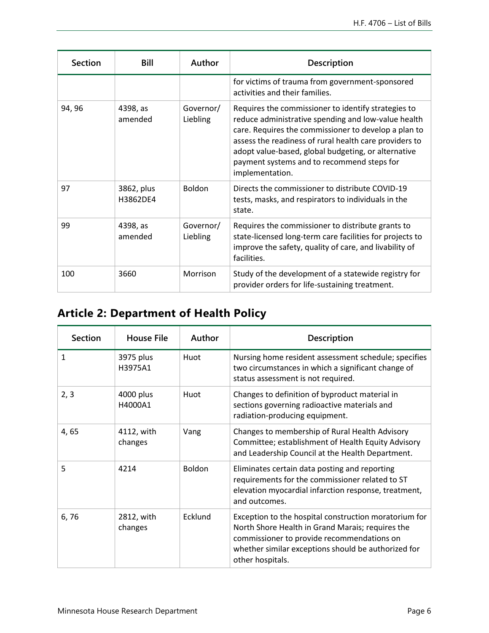| <b>Section</b> | <b>Bill</b>            | Author                | Description                                                                                                                                                                                                                                                                                                                                          |
|----------------|------------------------|-----------------------|------------------------------------------------------------------------------------------------------------------------------------------------------------------------------------------------------------------------------------------------------------------------------------------------------------------------------------------------------|
|                |                        |                       | for victims of trauma from government-sponsored<br>activities and their families.                                                                                                                                                                                                                                                                    |
| 94, 96         | 4398, as<br>amended    | Governor/<br>Liebling | Requires the commissioner to identify strategies to<br>reduce administrative spending and low-value health<br>care. Requires the commissioner to develop a plan to<br>assess the readiness of rural health care providers to<br>adopt value-based, global budgeting, or alternative<br>payment systems and to recommend steps for<br>implementation. |
| 97             | 3862, plus<br>H3862DE4 | <b>Boldon</b>         | Directs the commissioner to distribute COVID-19<br>tests, masks, and respirators to individuals in the<br>state.                                                                                                                                                                                                                                     |
| 99             | 4398, as<br>amended    | Governor/<br>Liebling | Requires the commissioner to distribute grants to<br>state-licensed long-term care facilities for projects to<br>improve the safety, quality of care, and livability of<br>facilities.                                                                                                                                                               |
| 100            | 3660                   | Morrison              | Study of the development of a statewide registry for<br>provider orders for life-sustaining treatment.                                                                                                                                                                                                                                               |

## **Article 2: Department of Health Policy**

| <b>Section</b> | <b>House File</b>     | Author        | <b>Description</b>                                                                                                                                                                                                                 |
|----------------|-----------------------|---------------|------------------------------------------------------------------------------------------------------------------------------------------------------------------------------------------------------------------------------------|
| 1              | 3975 plus<br>H3975A1  | Huot          | Nursing home resident assessment schedule; specifies<br>two circumstances in which a significant change of<br>status assessment is not required.                                                                                   |
| 2, 3           | 4000 plus<br>H4000A1  | Huot          | Changes to definition of byproduct material in<br>sections governing radioactive materials and<br>radiation-producing equipment.                                                                                                   |
| 4,65           | 4112, with<br>changes | Vang          | Changes to membership of Rural Health Advisory<br>Committee; establishment of Health Equity Advisory<br>and Leadership Council at the Health Department.                                                                           |
| 5              | 4214                  | <b>Boldon</b> | Eliminates certain data posting and reporting<br>requirements for the commissioner related to ST<br>elevation myocardial infarction response, treatment,<br>and outcomes.                                                          |
| 6,76           | 2812, with<br>changes | Ecklund       | Exception to the hospital construction moratorium for<br>North Shore Health in Grand Marais; requires the<br>commissioner to provide recommendations on<br>whether similar exceptions should be authorized for<br>other hospitals. |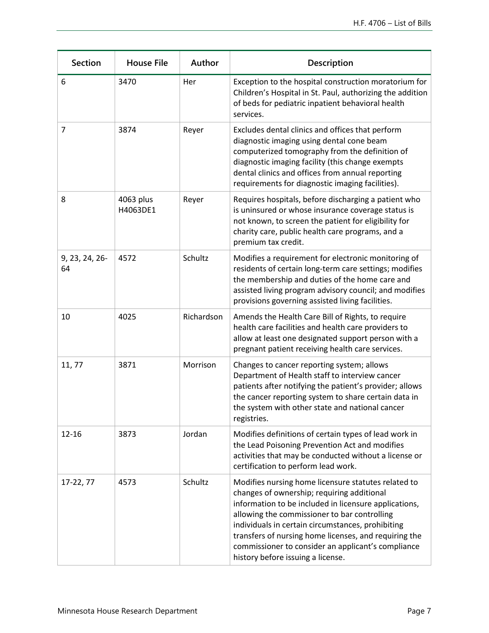| <b>Section</b>       | <b>House File</b>     | Author     | Description                                                                                                                                                                                                                                                                                                                                                                                                         |
|----------------------|-----------------------|------------|---------------------------------------------------------------------------------------------------------------------------------------------------------------------------------------------------------------------------------------------------------------------------------------------------------------------------------------------------------------------------------------------------------------------|
| 6                    | 3470                  | Her        | Exception to the hospital construction moratorium for<br>Children's Hospital in St. Paul, authorizing the addition<br>of beds for pediatric inpatient behavioral health<br>services.                                                                                                                                                                                                                                |
| $\overline{7}$       | 3874                  | Reyer      | Excludes dental clinics and offices that perform<br>diagnostic imaging using dental cone beam<br>computerized tomography from the definition of<br>diagnostic imaging facility (this change exempts<br>dental clinics and offices from annual reporting<br>requirements for diagnostic imaging facilities).                                                                                                         |
| 8                    | 4063 plus<br>H4063DE1 | Reyer      | Requires hospitals, before discharging a patient who<br>is uninsured or whose insurance coverage status is<br>not known, to screen the patient for eligibility for<br>charity care, public health care programs, and a<br>premium tax credit.                                                                                                                                                                       |
| 9, 23, 24, 26-<br>64 | 4572                  | Schultz    | Modifies a requirement for electronic monitoring of<br>residents of certain long-term care settings; modifies<br>the membership and duties of the home care and<br>assisted living program advisory council; and modifies<br>provisions governing assisted living facilities.                                                                                                                                       |
| 10                   | 4025                  | Richardson | Amends the Health Care Bill of Rights, to require<br>health care facilities and health care providers to<br>allow at least one designated support person with a<br>pregnant patient receiving health care services.                                                                                                                                                                                                 |
| 11,77                | 3871                  | Morrison   | Changes to cancer reporting system; allows<br>Department of Health staff to interview cancer<br>patients after notifying the patient's provider; allows<br>the cancer reporting system to share certain data in<br>the system with other state and national cancer<br>registries.                                                                                                                                   |
| $12 - 16$            | 3873                  | Jordan     | Modifies definitions of certain types of lead work in<br>the Lead Poisoning Prevention Act and modifies<br>activities that may be conducted without a license or<br>certification to perform lead work.                                                                                                                                                                                                             |
| 17-22, 77            | 4573                  | Schultz    | Modifies nursing home licensure statutes related to<br>changes of ownership; requiring additional<br>information to be included in licensure applications,<br>allowing the commissioner to bar controlling<br>individuals in certain circumstances, prohibiting<br>transfers of nursing home licenses, and requiring the<br>commissioner to consider an applicant's compliance<br>history before issuing a license. |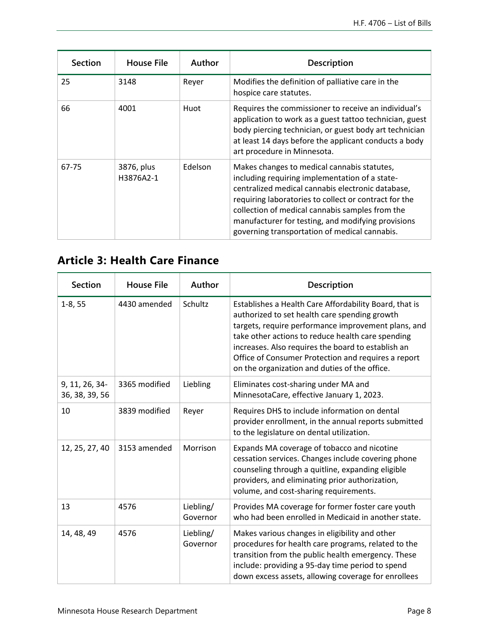| <b>Section</b> | <b>House File</b>       | Author  | <b>Description</b>                                                                                                                                                                                                                                                                                                                                                    |
|----------------|-------------------------|---------|-----------------------------------------------------------------------------------------------------------------------------------------------------------------------------------------------------------------------------------------------------------------------------------------------------------------------------------------------------------------------|
| 25             | 3148                    | Reyer   | Modifies the definition of palliative care in the<br>hospice care statutes.                                                                                                                                                                                                                                                                                           |
| 66             | 4001                    | Huot    | Requires the commissioner to receive an individual's<br>application to work as a guest tattoo technician, guest<br>body piercing technician, or guest body art technician<br>at least 14 days before the applicant conducts a body<br>art procedure in Minnesota.                                                                                                     |
| 67-75          | 3876, plus<br>H3876A2-1 | Edelson | Makes changes to medical cannabis statutes,<br>including requiring implementation of a state-<br>centralized medical cannabis electronic database,<br>requiring laboratories to collect or contract for the<br>collection of medical cannabis samples from the<br>manufacturer for testing, and modifying provisions<br>governing transportation of medical cannabis. |

#### **Article 3: Health Care Finance**

| <b>Section</b>                   | <b>House File</b> | Author                | Description                                                                                                                                                                                                                                                                                                                                                                       |
|----------------------------------|-------------------|-----------------------|-----------------------------------------------------------------------------------------------------------------------------------------------------------------------------------------------------------------------------------------------------------------------------------------------------------------------------------------------------------------------------------|
| $1-8, 55$                        | 4430 amended      | Schultz               | Establishes a Health Care Affordability Board, that is<br>authorized to set health care spending growth<br>targets, require performance improvement plans, and<br>take other actions to reduce health care spending<br>increases. Also requires the board to establish an<br>Office of Consumer Protection and requires a report<br>on the organization and duties of the office. |
| 9, 11, 26, 34-<br>36, 38, 39, 56 | 3365 modified     | Liebling              | Eliminates cost-sharing under MA and<br>MinnesotaCare, effective January 1, 2023.                                                                                                                                                                                                                                                                                                 |
| 10                               | 3839 modified     | Reyer                 | Requires DHS to include information on dental<br>provider enrollment, in the annual reports submitted<br>to the legislature on dental utilization.                                                                                                                                                                                                                                |
| 12, 25, 27, 40                   | 3153 amended      | Morrison              | Expands MA coverage of tobacco and nicotine<br>cessation services. Changes include covering phone<br>counseling through a quitline, expanding eligible<br>providers, and eliminating prior authorization,<br>volume, and cost-sharing requirements.                                                                                                                               |
| 13                               | 4576              | Liebling/<br>Governor | Provides MA coverage for former foster care youth<br>who had been enrolled in Medicaid in another state.                                                                                                                                                                                                                                                                          |
| 14, 48, 49                       | 4576              | Liebling/<br>Governor | Makes various changes in eligibility and other<br>procedures for health care programs, related to the<br>transition from the public health emergency. These<br>include: providing a 95-day time period to spend<br>down excess assets, allowing coverage for enrollees                                                                                                            |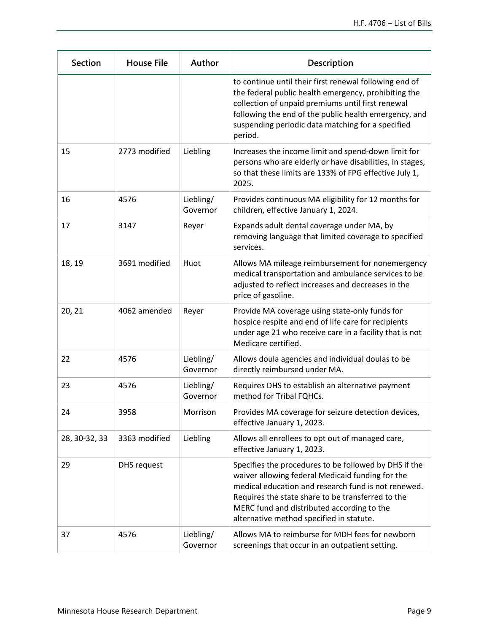| <b>Section</b> | <b>House File</b> | Author                | Description                                                                                                                                                                                                                                                                                                     |
|----------------|-------------------|-----------------------|-----------------------------------------------------------------------------------------------------------------------------------------------------------------------------------------------------------------------------------------------------------------------------------------------------------------|
|                |                   |                       | to continue until their first renewal following end of<br>the federal public health emergency, prohibiting the<br>collection of unpaid premiums until first renewal<br>following the end of the public health emergency, and<br>suspending periodic data matching for a specified<br>period.                    |
| 15             | 2773 modified     | Liebling              | Increases the income limit and spend-down limit for<br>persons who are elderly or have disabilities, in stages,<br>so that these limits are 133% of FPG effective July 1,<br>2025.                                                                                                                              |
| 16             | 4576              | Liebling/<br>Governor | Provides continuous MA eligibility for 12 months for<br>children, effective January 1, 2024.                                                                                                                                                                                                                    |
| 17             | 3147              | Reyer                 | Expands adult dental coverage under MA, by<br>removing language that limited coverage to specified<br>services.                                                                                                                                                                                                 |
| 18, 19         | 3691 modified     | Huot                  | Allows MA mileage reimbursement for nonemergency<br>medical transportation and ambulance services to be<br>adjusted to reflect increases and decreases in the<br>price of gasoline.                                                                                                                             |
| 20, 21         | 4062 amended      | Reyer                 | Provide MA coverage using state-only funds for<br>hospice respite and end of life care for recipients<br>under age 21 who receive care in a facility that is not<br>Medicare certified.                                                                                                                         |
| 22             | 4576              | Liebling/<br>Governor | Allows doula agencies and individual doulas to be<br>directly reimbursed under MA.                                                                                                                                                                                                                              |
| 23             | 4576              | Liebling/<br>Governor | Requires DHS to establish an alternative payment<br>method for Tribal FQHCs.                                                                                                                                                                                                                                    |
| 24             | 3958              | Morrison              | Provides MA coverage for seizure detection devices,<br>effective January 1, 2023.                                                                                                                                                                                                                               |
| 28, 30-32, 33  | 3363 modified     | Liebling              | Allows all enrollees to opt out of managed care,<br>effective January 1, 2023.                                                                                                                                                                                                                                  |
| 29             | DHS request       |                       | Specifies the procedures to be followed by DHS if the<br>waiver allowing federal Medicaid funding for the<br>medical education and research fund is not renewed.<br>Requires the state share to be transferred to the<br>MERC fund and distributed according to the<br>alternative method specified in statute. |
| 37             | 4576              | Liebling/<br>Governor | Allows MA to reimburse for MDH fees for newborn<br>screenings that occur in an outpatient setting.                                                                                                                                                                                                              |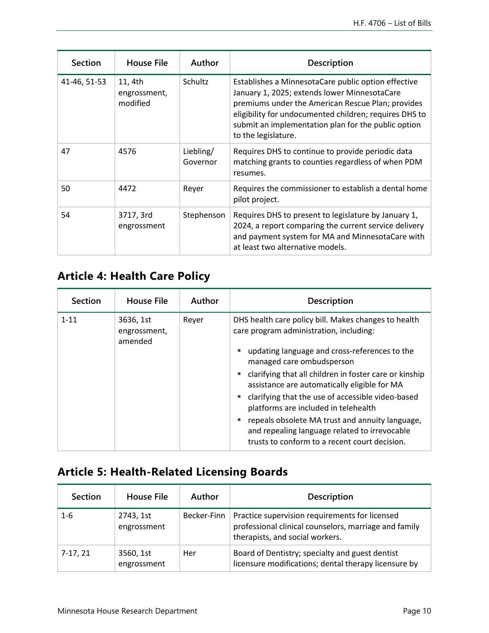| <b>Section</b> | <b>House File</b>                   | Author                | Description                                                                                                                                                                                                                                                                                      |
|----------------|-------------------------------------|-----------------------|--------------------------------------------------------------------------------------------------------------------------------------------------------------------------------------------------------------------------------------------------------------------------------------------------|
| 41-46, 51-53   | 11, 4th<br>engrossment,<br>modified | <b>Schultz</b>        | Establishes a MinnesotaCare public option effective<br>January 1, 2025; extends lower MinnesotaCare<br>premiums under the American Rescue Plan; provides<br>eligibility for undocumented children; requires DHS to<br>submit an implementation plan for the public option<br>to the legislature. |
| 47             | 4576                                | Liebling/<br>Governor | Requires DHS to continue to provide periodic data<br>matching grants to counties regardless of when PDM<br>resumes.                                                                                                                                                                              |
| 50             | 4472                                | Reyer                 | Requires the commissioner to establish a dental home<br>pilot project.                                                                                                                                                                                                                           |
| 54             | 3717, 3rd<br>engrossment            | Stephenson            | Requires DHS to present to legislature by January 1,<br>2024, a report comparing the current service delivery<br>and payment system for MA and MinnesotaCare with<br>at least two alternative models.                                                                                            |

## **Article 4: Health Care Policy**

| <b>Section</b> | <b>House File</b>                    | Author | <b>Description</b>                                                                                                                                                                                                                                                                                                                                                                                                                                                                                                                                  |
|----------------|--------------------------------------|--------|-----------------------------------------------------------------------------------------------------------------------------------------------------------------------------------------------------------------------------------------------------------------------------------------------------------------------------------------------------------------------------------------------------------------------------------------------------------------------------------------------------------------------------------------------------|
| $1 - 11$       | 3636, 1st<br>engrossment,<br>amended | Reyer  | DHS health care policy bill. Makes changes to health<br>care program administration, including:<br>updating language and cross-references to the<br>ш<br>managed care ombudsperson<br>clarifying that all children in foster care or kinship<br>assistance are automatically eligible for MA<br>clarifying that the use of accessible video-based<br>٠<br>platforms are included in telehealth<br>repeals obsolete MA trust and annuity language,<br>and repealing language related to irrevocable<br>trusts to conform to a recent court decision. |

## **Article 5: Health-Related Licensing Boards**

| Section    | <b>House File</b>        | Author      | <b>Description</b>                                                                                                                         |
|------------|--------------------------|-------------|--------------------------------------------------------------------------------------------------------------------------------------------|
| 1-6        | 2743, 1st<br>engrossment | Becker-Finn | Practice supervision requirements for licensed<br>professional clinical counselors, marriage and family<br>therapists, and social workers. |
| $7-17, 21$ | 3560, 1st<br>engrossment | Her         | Board of Dentistry; specialty and guest dentist<br>licensure modifications; dental therapy licensure by                                    |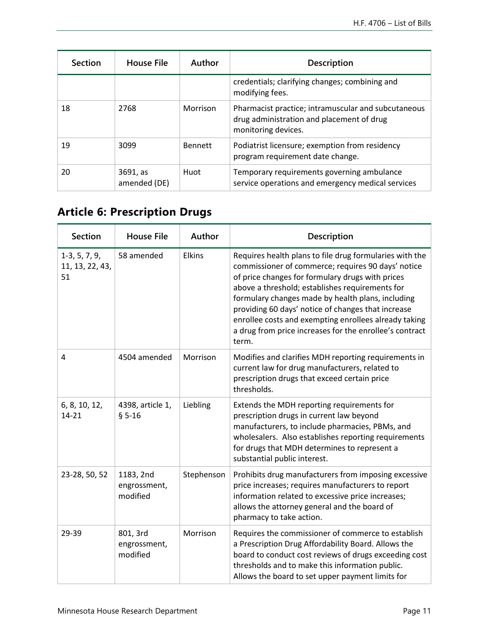| <b>Section</b> | <b>House File</b>        | Author         | <b>Description</b>                                                                                                      |
|----------------|--------------------------|----------------|-------------------------------------------------------------------------------------------------------------------------|
|                |                          |                | credentials; clarifying changes; combining and<br>modifying fees.                                                       |
| 18             | 2768                     | Morrison       | Pharmacist practice; intramuscular and subcutaneous<br>drug administration and placement of drug<br>monitoring devices. |
| 19             | 3099                     | <b>Bennett</b> | Podiatrist licensure; exemption from residency<br>program requirement date change.                                      |
| 20             | 3691, as<br>amended (DE) | Huot           | Temporary requirements governing ambulance<br>service operations and emergency medical services                         |

# **Article 6: Prescription Drugs**

| <b>Section</b>                           | <b>House File</b>                     | Author        | Description                                                                                                                                                                                                                                                                                                                                                                                                                                                  |
|------------------------------------------|---------------------------------------|---------------|--------------------------------------------------------------------------------------------------------------------------------------------------------------------------------------------------------------------------------------------------------------------------------------------------------------------------------------------------------------------------------------------------------------------------------------------------------------|
| $1-3, 5, 7, 9,$<br>11, 13, 22, 43,<br>51 | 58 amended                            | <b>Elkins</b> | Requires health plans to file drug formularies with the<br>commissioner of commerce; requires 90 days' notice<br>of price changes for formulary drugs with prices<br>above a threshold; establishes requirements for<br>formulary changes made by health plans, including<br>providing 60 days' notice of changes that increase<br>enrollee costs and exempting enrollees already taking<br>a drug from price increases for the enrollee's contract<br>term. |
| $\overline{4}$                           | 4504 amended                          | Morrison      | Modifies and clarifies MDH reporting requirements in<br>current law for drug manufacturers, related to<br>prescription drugs that exceed certain price<br>thresholds.                                                                                                                                                                                                                                                                                        |
| 6, 8, 10, 12,<br>14-21                   | 4398, article 1,<br>$§ 5 - 16$        | Liebling      | Extends the MDH reporting requirements for<br>prescription drugs in current law beyond<br>manufacturers, to include pharmacies, PBMs, and<br>wholesalers. Also establishes reporting requirements<br>for drugs that MDH determines to represent a<br>substantial public interest.                                                                                                                                                                            |
| 23-28, 50, 52                            | 1183, 2nd<br>engrossment,<br>modified | Stephenson    | Prohibits drug manufacturers from imposing excessive<br>price increases; requires manufacturers to report<br>information related to excessive price increases;<br>allows the attorney general and the board of<br>pharmacy to take action.                                                                                                                                                                                                                   |
| 29-39                                    | 801, 3rd<br>engrossment,<br>modified  | Morrison      | Requires the commissioner of commerce to establish<br>a Prescription Drug Affordability Board. Allows the<br>board to conduct cost reviews of drugs exceeding cost<br>thresholds and to make this information public.<br>Allows the board to set upper payment limits for                                                                                                                                                                                    |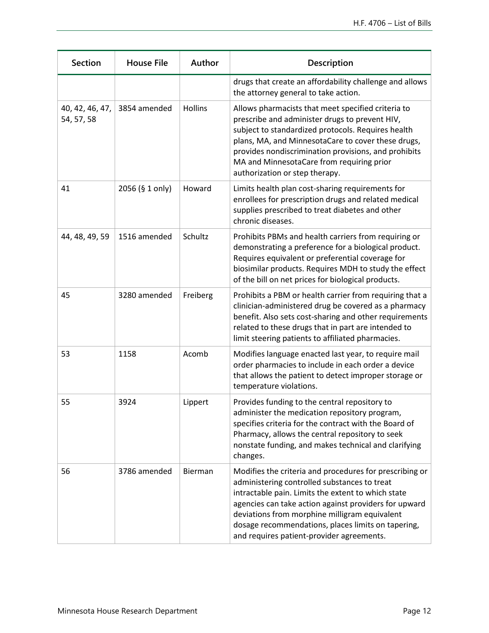| <b>Section</b>                | <b>House File</b> | Author         | <b>Description</b>                                                                                                                                                                                                                                                                                                                                                         |
|-------------------------------|-------------------|----------------|----------------------------------------------------------------------------------------------------------------------------------------------------------------------------------------------------------------------------------------------------------------------------------------------------------------------------------------------------------------------------|
|                               |                   |                | drugs that create an affordability challenge and allows<br>the attorney general to take action.                                                                                                                                                                                                                                                                            |
| 40, 42, 46, 47,<br>54, 57, 58 | 3854 amended      | <b>Hollins</b> | Allows pharmacists that meet specified criteria to<br>prescribe and administer drugs to prevent HIV,<br>subject to standardized protocols. Requires health<br>plans, MA, and MinnesotaCare to cover these drugs,<br>provides nondiscrimination provisions, and prohibits<br>MA and MinnesotaCare from requiring prior<br>authorization or step therapy.                    |
| 41                            | 2056 (§ 1 only)   | Howard         | Limits health plan cost-sharing requirements for<br>enrollees for prescription drugs and related medical<br>supplies prescribed to treat diabetes and other<br>chronic diseases.                                                                                                                                                                                           |
| 44, 48, 49, 59                | 1516 amended      | Schultz        | Prohibits PBMs and health carriers from requiring or<br>demonstrating a preference for a biological product.<br>Requires equivalent or preferential coverage for<br>biosimilar products. Requires MDH to study the effect<br>of the bill on net prices for biological products.                                                                                            |
| 45                            | 3280 amended      | Freiberg       | Prohibits a PBM or health carrier from requiring that a<br>clinician-administered drug be covered as a pharmacy<br>benefit. Also sets cost-sharing and other requirements<br>related to these drugs that in part are intended to<br>limit steering patients to affiliated pharmacies.                                                                                      |
| 53                            | 1158              | Acomb          | Modifies language enacted last year, to require mail<br>order pharmacies to include in each order a device<br>that allows the patient to detect improper storage or<br>temperature violations.                                                                                                                                                                             |
| 55                            | 3924              | Lippert        | Provides funding to the central repository to<br>administer the medication repository program,<br>specifies criteria for the contract with the Board of<br>Pharmacy, allows the central repository to seek<br>nonstate funding, and makes technical and clarifying<br>changes.                                                                                             |
| 56                            | 3786 amended      | Bierman        | Modifies the criteria and procedures for prescribing or<br>administering controlled substances to treat<br>intractable pain. Limits the extent to which state<br>agencies can take action against providers for upward<br>deviations from morphine milligram equivalent<br>dosage recommendations, places limits on tapering,<br>and requires patient-provider agreements. |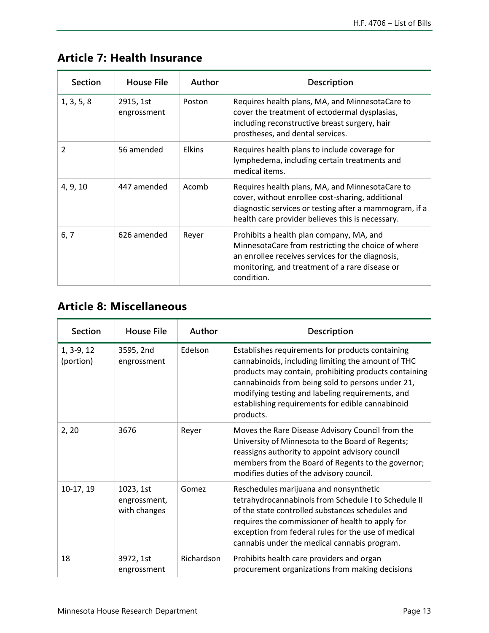| <b>Section</b> | <b>House File</b>        | Author        | Description                                                                                                                                                                                                        |
|----------------|--------------------------|---------------|--------------------------------------------------------------------------------------------------------------------------------------------------------------------------------------------------------------------|
| 1, 3, 5, 8     | 2915, 1st<br>engrossment | Poston        | Requires health plans, MA, and MinnesotaCare to<br>cover the treatment of ectodermal dysplasias,<br>including reconstructive breast surgery, hair<br>prostheses, and dental services.                              |
| $\overline{2}$ | 56 amended               | <b>Elkins</b> | Requires health plans to include coverage for<br>lymphedema, including certain treatments and<br>medical items.                                                                                                    |
| 4, 9, 10       | 447 amended              | Acomb         | Requires health plans, MA, and MinnesotaCare to<br>cover, without enrollee cost-sharing, additional<br>diagnostic services or testing after a mammogram, if a<br>health care provider believes this is necessary.  |
| 6, 7           | 626 amended              | Reyer         | Prohibits a health plan company, MA, and<br>MinnesotaCare from restricting the choice of where<br>an enrollee receives services for the diagnosis,<br>monitoring, and treatment of a rare disease or<br>condition. |

## **Article 7: Health Insurance**

#### **Article 8: Miscellaneous**

| <b>Section</b>            | <b>House File</b>                         | Author     | <b>Description</b>                                                                                                                                                                                                                                                                                                                        |
|---------------------------|-------------------------------------------|------------|-------------------------------------------------------------------------------------------------------------------------------------------------------------------------------------------------------------------------------------------------------------------------------------------------------------------------------------------|
| $1, 3-9, 12$<br>(portion) | 3595, 2nd<br>engrossment                  | Edelson    | Establishes requirements for products containing<br>cannabinoids, including limiting the amount of THC<br>products may contain, prohibiting products containing<br>cannabinoids from being sold to persons under 21,<br>modifying testing and labeling requirements, and<br>establishing requirements for edible cannabinoid<br>products. |
| 2, 20                     | 3676                                      | Reyer      | Moves the Rare Disease Advisory Council from the<br>University of Minnesota to the Board of Regents;<br>reassigns authority to appoint advisory council<br>members from the Board of Regents to the governor;<br>modifies duties of the advisory council.                                                                                 |
| 10-17, 19                 | 1023, 1st<br>engrossment,<br>with changes | Gomez      | Reschedules marijuana and nonsynthetic<br>tetrahydrocannabinols from Schedule I to Schedule II<br>of the state controlled substances schedules and<br>requires the commissioner of health to apply for<br>exception from federal rules for the use of medical<br>cannabis under the medical cannabis program.                             |
| 18                        | 3972, 1st<br>engrossment                  | Richardson | Prohibits health care providers and organ<br>procurement organizations from making decisions                                                                                                                                                                                                                                              |